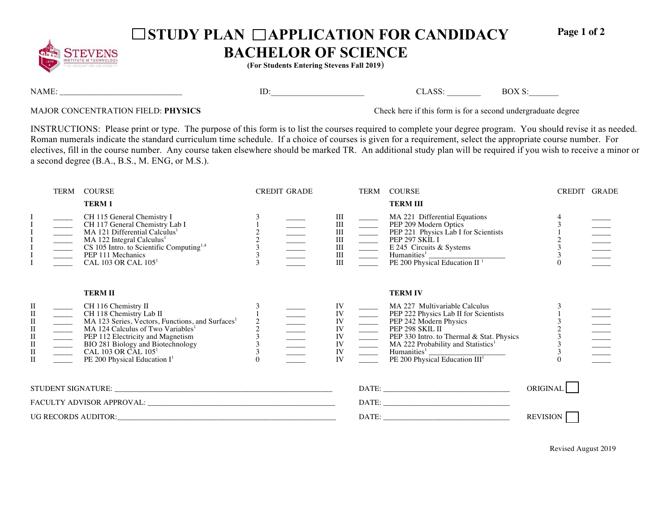

## □ STUDY PLAN □ APPLICATION FOR CANDIDACY

**Page 1 of 2** 

## **BACHELOR OF SCIENCE**

**(For Students Entering Stevens Fall 2019**)

NAME: \_\_\_\_\_\_\_\_\_\_\_\_\_\_\_\_\_\_\_\_\_\_\_\_\_\_\_\_\_\_\_\_ ID:\_\_\_\_\_\_\_\_\_\_\_\_\_\_\_\_\_\_\_\_\_\_ CLASS: \_\_\_\_\_\_\_\_ BOX S:\_\_\_\_\_\_\_

MAJOR CONCENTRATION FIELD: **PHYSICS** Check here if this form is for a second undergraduate degree

INSTRUCTIONS: Please print or type. The purpose of this form is to list the courses required to complete your degree program. You should revise it as needed. Roman numerals indicate the standard curriculum time schedule. If a choice of courses is given for a requirement, select the appropriate course number. For electives, fill in the course number. Any course taken elsewhere should be marked TR. An additional study plan will be required if you wish to receive a minor or a second degree (B.A., B.S., M. ENG, or M.S.).

|                                                                                                                 | TERM | <b>COURSE</b>                                                                                                                                                                                                                                                                                                                    |                                                 | <b>CREDIT GRADE</b> |                                                                             |                                                                                                                                                                                                                                                                                                                                                                                                                                                                                                                                                       | TERM COURSE                                                                                                                                                                                                                                                                                                               | CREDIT GRADE |  |
|-----------------------------------------------------------------------------------------------------------------|------|----------------------------------------------------------------------------------------------------------------------------------------------------------------------------------------------------------------------------------------------------------------------------------------------------------------------------------|-------------------------------------------------|---------------------|-----------------------------------------------------------------------------|-------------------------------------------------------------------------------------------------------------------------------------------------------------------------------------------------------------------------------------------------------------------------------------------------------------------------------------------------------------------------------------------------------------------------------------------------------------------------------------------------------------------------------------------------------|---------------------------------------------------------------------------------------------------------------------------------------------------------------------------------------------------------------------------------------------------------------------------------------------------------------------------|--------------|--|
|                                                                                                                 |      | <b>TERM1</b>                                                                                                                                                                                                                                                                                                                     |                                                 |                     |                                                                             |                                                                                                                                                                                                                                                                                                                                                                                                                                                                                                                                                       | <b>TERM III</b>                                                                                                                                                                                                                                                                                                           |              |  |
|                                                                                                                 |      | CH 115 General Chemistry I<br>CH 117 General Chemistry Lab I<br>MA 121 Differential Calculus <sup>1</sup><br>MA 122 Integral Calculus <sup>1</sup><br>CS 105 Intro. to Scientific Computing <sup>1,4</sup><br>PEP 111 Mechanics<br>CAL 103 OR CAL 105 <sup>1</sup>                                                               | $\begin{array}{c} 2 \\ 2 \\ 3 \\ 3 \end{array}$ |                     | III                                                                         | $\begin{array}{c} \begin{array}{c} \text{III} \\ \text{III} \\ \text{III} \end{array} \\ \begin{array}{c} \begin{array}{c} \text{III} \\ \text{III} \end{array} \\ \begin{array}{c} \text{III} \\ \text{III} \end{array} \\ \begin{array}{c} \end{array} \\ \begin{array}{c} \text{III} \\ \text{III} \end{array} \\ \begin{array}{c} \end{array} \\ \begin{array}{c} \end{array} \\ \begin{array}{c} \end{array} \\ \begin{array}{c} \text{III} \\ \text{III} \end{array} \\ \begin{array}{c} \end{array} \\ \begin{array}{c} \end{array} \\ \begin$ | MA 221 Differential Equations<br>PEP 209 Modern Optics<br>PEP 221 Physics Lab I for Scientists<br>PEP 297 SKIL I<br>E 245 Circuits & Systems<br>Humanities <sup>1</sup> $\frac{1}{\text{PE } 200 \text{ Physical Education II }^{1}}$                                                                                     | $\Omega$     |  |
| П<br>$\rm II$<br>$\rm II$<br>$\rm II$<br>$\rm II$<br>$\begin{array}{ll} \Pi \\ \Pi \end{array}$<br>$\mathbf{I}$ |      | <b>TERMII</b><br>CH 116 Chemistry II<br>CH 118 Chemistry Lab II<br>MA 123 Series, Vectors, Functions, and Surfaces <sup>1</sup><br>MA 124 Calculus of Two Variables <sup>1</sup><br>PEP 112 Electricity and Magnetism<br>BIO 281 Biology and Biotechnology<br>CAL 103 OR CAL 105 <sup>1</sup><br>PE 200 Physical Education $I^1$ | $\begin{array}{c} 2 \\ 2 \\ 3 \\ 3 \end{array}$ |                     | IV<br>IV<br>IV<br>${\rm IV}$<br>$\frac{\rm IV}{\rm IV}$<br>${\rm IV}$<br>IV |                                                                                                                                                                                                                                                                                                                                                                                                                                                                                                                                                       | <b>TERM IV</b><br>MA 227 Multivariable Carcunus<br>PEP 222 Physics Lab II for Scientists<br>PEP 242 Modern Physics<br>PEP 298 SKIL II<br>PEP 330 Intro. to Thermal & Stat. P<br>MA 222 Probability and Statistics <sup>1</sup><br>PE 200 Physical Education III <sup>1</sup><br>PEP 330 Intro. to Thermal & Stat. Physics |              |  |
|                                                                                                                 |      |                                                                                                                                                                                                                                                                                                                                  |                                                 |                     |                                                                             |                                                                                                                                                                                                                                                                                                                                                                                                                                                                                                                                                       |                                                                                                                                                                                                                                                                                                                           | ORIGINAL     |  |
|                                                                                                                 |      |                                                                                                                                                                                                                                                                                                                                  |                                                 |                     |                                                                             |                                                                                                                                                                                                                                                                                                                                                                                                                                                                                                                                                       |                                                                                                                                                                                                                                                                                                                           |              |  |
|                                                                                                                 |      |                                                                                                                                                                                                                                                                                                                                  |                                                 |                     |                                                                             |                                                                                                                                                                                                                                                                                                                                                                                                                                                                                                                                                       | <b>REVISION</b>                                                                                                                                                                                                                                                                                                           |              |  |

Revised August 2019